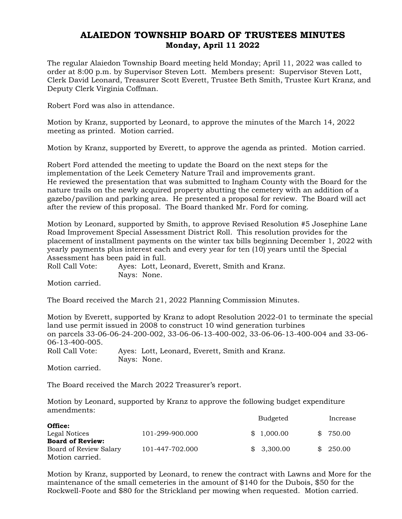## ALAIEDON TOWNSHIP BOARD OF TRUSTEES MINUTES Monday, April 11 2022

The regular Alaiedon Township Board meeting held Monday; April 11, 2022 was called to order at 8:00 p.m. by Supervisor Steven Lott. Members present: Supervisor Steven Lott, Clerk David Leonard, Treasurer Scott Everett, Trustee Beth Smith, Trustee Kurt Kranz, and Deputy Clerk Virginia Coffman.

Robert Ford was also in attendance.

Motion by Kranz, supported by Leonard, to approve the minutes of the March 14, 2022 meeting as printed. Motion carried.

Motion by Kranz, supported by Everett, to approve the agenda as printed. Motion carried.

Robert Ford attended the meeting to update the Board on the next steps for the implementation of the Leek Cemetery Nature Trail and improvements grant. He reviewed the presentation that was submitted to Ingham County with the Board for the nature trails on the newly acquired property abutting the cemetery with an addition of a gazebo/pavilion and parking area. He presented a proposal for review. The Board will act after the review of this proposal. The Board thanked Mr. Ford for coming.

Motion by Leonard, supported by Smith, to approve Revised Resolution #5 Josephine Lane Road Improvement Special Assessment District Roll. This resolution provides for the placement of installment payments on the winter tax bills beginning December 1, 2022 with yearly payments plus interest each and every year for ten (10) years until the Special Assessment has been paid in full.

Roll Call Vote: Ayes: Lott, Leonard, Everett, Smith and Kranz. Nays: None.

Motion carried.

The Board received the March 21, 2022 Planning Commission Minutes.

Motion by Everett, supported by Kranz to adopt Resolution 2022-01 to terminate the special land use permit issued in 2008 to construct 10 wind generation turbines on parcels 33-06-06-24-200-002, 33-06-06-13-400-002, 33-06-06-13-400-004 and 33-06- 06-13-400-005.<br>Roll Call Vote: Ayes: Lott, Leonard, Everett, Smith and Kranz. Nays: None.

Motion carried.

The Board received the March 2022 Treasurer's report.

Motion by Leonard, supported by Kranz to approve the following budget expenditure amendments:

|                         |                 | <b>Budgeted</b> | Increase |
|-------------------------|-----------------|-----------------|----------|
| Office:                 |                 |                 |          |
| Legal Notices           | 101-299-900.000 | \$1,000.00      | \$750.00 |
| <b>Board of Review:</b> |                 |                 |          |
| Board of Review Salary  | 101-447-702.000 | \$3,300.00      | \$250.00 |
| Motion carried.         |                 |                 |          |

Motion by Kranz, supported by Leonard, to renew the contract with Lawns and More for the maintenance of the small cemeteries in the amount of \$140 for the Dubois, \$50 for the Rockwell-Foote and \$80 for the Strickland per mowing when requested. Motion carried.